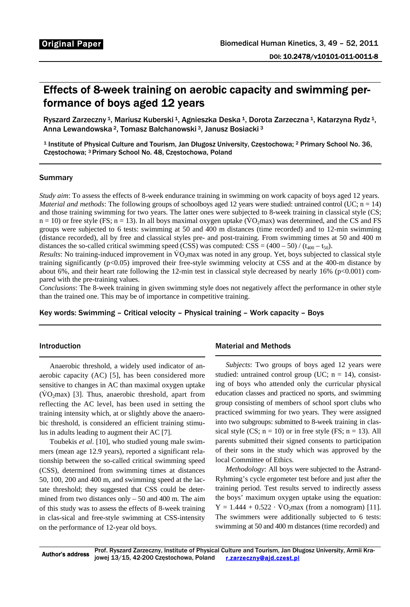# Effects of 8-week training on aerobic capacity and swimming performance of boys aged 12 years

Ryszard Zarzeczny <sup>1</sup>, Mariusz Kuberski <sup>1</sup>, Agnieszka Deska <sup>1</sup>, Dorota Zarzeczna <sup>1</sup>, Katarzyna Rydz <sup>1</sup>, Anna Lewandowska 2, Tomasz Bałchanowski 3, Janusz Bosiacki 3

1 Institute of Physical Culture and Tourism, Jan Długosz University, Częstochowa; 2 Primary School No. 36, Częstochowa; 3 Primary School No. 48, Częstochowa, Poland

### **Summary**

 $\overline{a}$ 

*Study aim*: To assess the effects of 8-week endurance training in swimming on work capacity of boys aged 12 years. *Material and methods*: The following groups of schoolboys aged 12 years were studied: untrained control (UC; n = 14) and those training swimming for two years. The latter ones were subjected to 8-week training in classical style (CS;  $n = 10$ ) or free style (FS;  $n = 13$ ). In all boys maximal oxygen uptake ( $\overline{VQ_2}$ max) was determined, and the CS and FS groups were subjected to 6 tests: swimming at 50 and 400 m distances (time recorded) and to 12-min swimming (distance recorded), all by free and classical styles pre- and post-training. From swimming times at 50 and 400 m distances the so-called critical swimming speed (CSS) was computed: CSS =  $(400 - 50) / (t_{400} - t_{50})$ .

*Results*: No training-induced improvement in  $VO<sub>2</sub>$ max was noted in any group. Yet, boys subjected to classical style training significantly (p<0.05) improved their free-style swimming velocity at CSS and at the 400-m distance by about 6%, and their heart rate following the 12-min test in classical style decreased by nearly 16% (p<0.001) compared with the pre-training values.

*Conclusions*: The 8-week training in given swimming style does not negatively affect the performance in other style than the trained one. This may be of importance in competitive training.

Key words: Swimming – Critical velocity – Physical training – Work capacity – Boys

# Introduction

Anaerobic threshold, a widely used indicator of anaerobic capacity (AC) [5], has been considered more sensitive to changes in AC than maximal oxygen uptake  $(VO<sub>2</sub>max)$  [3]. Thus, anaerobic threshold, apart from reflecting the AC level, has been used in setting the training intensity which, at or slightly above the anaerobic threshold, is considered an efficient training stimulus in adults leading to augment their AC [7].

Toubekis *et al*. [10], who studied young male swimmers (mean age 12.9 years), reported a significant relationship between the so-called critical swimming speed (CSS), determined from swimming times at distances 50, 100, 200 and 400 m, and swimming speed at the lactate threshold; they suggested that CSS could be determined from two distances only  $-50$  and 400 m. The aim of this study was to assess the effects of 8-week training in clas-sical and free-style swimming at CSS-intensity on the performance of 12-year old boys.

# Material and Methods

*Subjects*: Two groups of boys aged 12 years were studied: untrained control group (UC;  $n = 14$ ), consisting of boys who attended only the curricular physical education classes and practiced no sports, and swimming group consisting of members of school sport clubs who practiced swimming for two years. They were assigned into two subgroups: submitted to 8-week training in classical style (CS;  $n = 10$ ) or in free style (FS;  $n = 13$ ). All parents submitted their signed consents to participation of their sons in the study which was approved by the local Committee of Ethics.

*Methodology*: All boys were subjected to the Åstrand-Ryhming's cycle ergometer test before and just after the training period. Test results served to indirectly assess the boys' maximum oxygen uptake using the equation:  $Y = 1.444 + 0.522 \cdot \text{VO}_2 \text{max}$  (from a nomogram) [11]. The swimmers were additionally subjected to 6 tests: swimming at 50 and 400 m distances (time recorded) and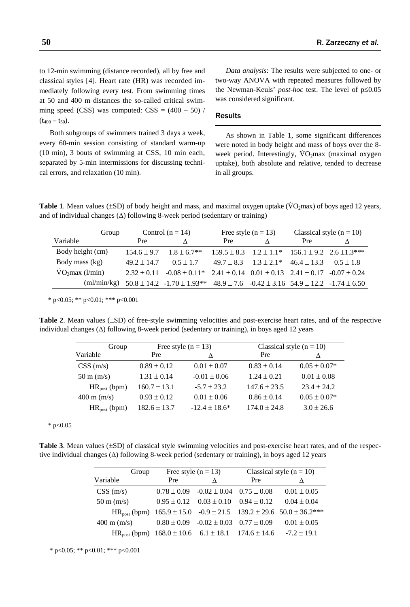to 12-min swimming (distance recorded), all by free and classical styles [4]. Heart rate (HR) was recorded immediately following every test. From swimming times at 50 and 400 m distances the so-called critical swimming speed (CSS) was computed:  $CSS = (400 - 50)$  /  $(t_{400} - t_{50}).$ 

Both subgroups of swimmers trained 3 days a week, every 60-min session consisting of standard warm-up (10 min), 3 bouts of swimming at CSS, 10 min each, separated by 5-min intermissions for discussing technical errors, and relaxation (10 min).

*Data analysis*: The results were subjected to one- or two-way ANOVA with repeated measures followed by the Newman-Keuls' *post-hoc* test. The level of p≤0.05 was considered significant.

## **Results**

As shown in Table 1, some significant differences were noted in body height and mass of boys over the 8 week period. Interestingly,  $VO<sub>2</sub>max$  (maximal oxygen uptake), both absolute and relative, tended to decrease in all groups.

**Table 1**. Mean values ( $\pm SD$ ) of body height and mass, and maximal oxygen uptake ( $\overline{VO}_2$ max) of boys aged 12 years, and of individual changes (∆) following 8-week period (sedentary or training)

| Group                       | Control $(n = 14)$ |                                                                                                     | Free style $(n = 13)$ |                                                                     | Classical style $(n = 10)$ |             |
|-----------------------------|--------------------|-----------------------------------------------------------------------------------------------------|-----------------------|---------------------------------------------------------------------|----------------------------|-------------|
| Variable                    | Pre                |                                                                                                     | Pre                   |                                                                     | Pre                        |             |
| Body height (cm)            | $154.6 \pm 9.7$    | $1.8 + 6.7**$                                                                                       |                       | $159.5 \pm 8.3$ $1.2 \pm 1.1^*$ $156.1 \pm 9.2$ $2.6 \pm 1.3^{***}$ |                            |             |
| Body mass (kg)              | $49.2 + 14.7$      | $0.5 + 1.7$                                                                                         |                       | $49.7 \pm 8.3$ $1.3 \pm 2.1^*$ $46.4 \pm 13.3$                      |                            | $0.5 + 1.8$ |
| VO <sub>2</sub> max (l/min) | $2.32 \pm 0.11$    | $-0.08 \pm 0.11^*$ 2.41 $\pm$ 0.14 0.01 $\pm$ 0.13 2.41 $\pm$ 0.17 -0.07 $\pm$ 0.24                 |                       |                                                                     |                            |             |
| (ml/min/kg)                 |                    | $50.8 \pm 14.2$ $-1.70 \pm 1.93**$ $48.9 \pm 7.6$ $-0.42 \pm 3.16$ $54.9 \pm 12.2$ $-1.74 \pm 6.50$ |                       |                                                                     |                            |             |

\* p<0.05; \*\* p<0.01; \*\*\* p<0.001

**Table 2**. Mean values (±SD) of free-style swimming velocities and post-exercise heart rates, and of the respective individual changes (∆) following 8-week period (sedentary or training), in boys aged 12 years

| Group                           | Free style $(n = 13)$ |                    | Classical style $(n = 10)$ |                  |  |
|---------------------------------|-----------------------|--------------------|----------------------------|------------------|--|
| Variable                        | Pre                   |                    | Pre                        |                  |  |
| CSS(m/s)                        | $0.89 \pm 0.12$       | $0.01 \pm 0.07$    | $0.83 \pm 0.14$            | $0.05 \pm 0.07*$ |  |
| $50 \text{ m}$ (m/s)            | $1.31 \pm 0.14$       | $-0.01 \pm 0.06$   | $1.24 \pm 0.21$            | $0.01 \pm 0.08$  |  |
| $HR_{post}$ (bpm)               | $160.7 \pm 13.1$      | $-5.7 \pm 23.2$    | $147.6 \pm 23.5$           | $23.4 \pm 24.2$  |  |
| $400 \text{ m} \, \text{(m/s)}$ | $0.93 \pm 0.12$       | $0.01 \pm 0.06$    | $0.86 \pm 0.14$            | $0.05 \pm 0.07*$ |  |
| $HR_{post}$ (bpm)               | $182.6 \pm 13.7$      | $-12.4 \pm 18.6^*$ | $174.0 \pm 24.8$           | $3.0 \pm 26.6$   |  |

 $*$  p<0.05

**Table 3**. Mean values (±SD) of classical style swimming velocities and post-exercise heart rates, and of the respective individual changes (∆) following 8-week period (sedentary or training), in boys aged 12 years

| Group                           | Free style $(n = 13)$                                                     |                                                  | Classical style $(n = 10)$ |                                                                                                |
|---------------------------------|---------------------------------------------------------------------------|--------------------------------------------------|----------------------------|------------------------------------------------------------------------------------------------|
| Variable                        | Pre                                                                       |                                                  | Pre                        |                                                                                                |
| CSS(m/s)                        |                                                                           | $0.78 \pm 0.09$ $-0.02 \pm 0.04$ $0.75 \pm 0.08$ |                            | $0.01 \pm 0.05$                                                                                |
| $50 \text{ m} \, \text{(m/s)}$  |                                                                           | $0.95 \pm 0.12$ $0.03 \pm 0.10$ $0.94 \pm 0.12$  |                            | $0.04 \pm 0.04$                                                                                |
|                                 |                                                                           |                                                  |                            | HR <sub>post</sub> (bpm) $165.9 \pm 15.0$ $-0.9 \pm 21.5$ $139.2 \pm 29.6$ $50.0 \pm 36.2$ *** |
| $400 \text{ m} \, \text{(m/s)}$ |                                                                           | $0.80 \pm 0.09$ $-0.02 \pm 0.03$ $0.77 \pm 0.09$ |                            | $0.01 \pm 0.05$                                                                                |
|                                 | $HR_{\text{post}}$ (bpm) $168.0 \pm 10.6$ $6.1 \pm 18.1$ $174.6 \pm 14.6$ |                                                  |                            | $-7.2 \pm 19.1$                                                                                |

\* p<0.05; \*\* p<0.01; \*\*\* p<0.001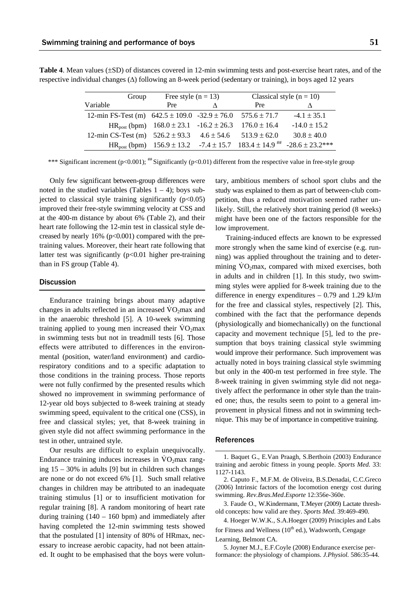| Group                                                                  | Free style $(n = 13)$                                                       |   | Classical style $(n = 10)$ |                                                                                                               |
|------------------------------------------------------------------------|-----------------------------------------------------------------------------|---|----------------------------|---------------------------------------------------------------------------------------------------------------|
| Variable                                                               | Pre                                                                         | Λ | <b>Pre</b>                 |                                                                                                               |
| 12-min FS-Test (m) $642.5 \pm 109.0$ -32.9 $\pm 76.0$ 575.6 $\pm 71.7$ |                                                                             |   |                            | $-4.1 \pm 35.1$                                                                                               |
|                                                                        | HR <sub>post</sub> (bpm) $168.0 \pm 23.1$ -16.2 $\pm 26.3$ 176.0 $\pm 16.4$ |   |                            | $-14.0 \pm 15.2$                                                                                              |
| 12-min CS-Test (m) $526.2 \pm 93.3$ $4.6 \pm 54.6$ $513.9 \pm 62.0$    |                                                                             |   |                            | $30.8 \pm 40.0$                                                                                               |
|                                                                        |                                                                             |   |                            | HR <sub>post</sub> (bpm) $156.9 \pm 13.2$ -7.4 $\pm 15.7$ $183.4 \pm 14.9$ <sup>##</sup> -28.6 $\pm 23.2$ *** |

**Table 4**. Mean values (±SD) of distances covered in 12-min swimming tests and post-exercise heart rates, and of the respective individual changes (∆) following an 8-week period (sedentary or training), in boys aged 12 years

\*\*\* Significant increment (p<0.001); ## Significantly (p<0.01) different from the respective value in free-style group

Only few significant between-group differences were noted in the studied variables (Tables  $1 - 4$ ); boys subjected to classical style training significantly  $(p<0.05)$ improved their free-style swimming velocity at CSS and at the 400-m distance by about 6% (Table 2), and their heart rate following the 12-min test in classical style decreased by nearly  $16\%$  ( $p<0.001$ ) compared with the pretraining values. Moreover, their heart rate following that latter test was significantly (p<0.01 higher pre-training than in FS group (Table 4).

## **Discussion**

Endurance training brings about many adaptive changes in adults reflected in an increased  $\rm VO_2$ max and in the anaerobic threshold [5]. A 10-week swimming training applied to young men increased their  $\rm VO_2$ max in swimming tests but not in treadmill tests [6]. Those effects were attributed to differences in the environmental (position, water/land environment) and cardiorespiratory conditions and to a specific adaptation to those conditions in the training process. Those reports were not fully confirmed by the presented results which showed no improvement in swimming performance of 12-year old boys subjected to 8-week training at steady swimming speed, equivalent to the critical one (CSS), in free and classical styles; yet, that 8-week training in given style did not affect swimming performance in the test in other, untrained style.

Our results are difficult to explain unequivocally. Endurance training induces increases in  $\rm{VO}_2$ max ranging 15 – 30% in adults [9] but in children such changes are none or do not exceed 6% [1]. Such small relative changes in children may be attributed to an inadequate training stimulus [1] or to insufficient motivation for regular training [8]. A random monitoring of heart rate during training  $(140 - 160$  bpm) and immediately after having completed the 12-min swimming tests showed that the postulated [1] intensity of 80% of HRmax, necessary to increase aerobic capacity, had not been attained. It ought to be emphasised that the boys were voluntary, ambitious members of school sport clubs and the study was explained to them as part of between-club competition, thus a reduced motivation seemed rather unlikely. Still, the relatively short training period (8 weeks) might have been one of the factors responsible for the low improvement.

Training-induced effects are known to be expressed more strongly when the same kind of exercise (e.g. running) was applied throughout the training and to determining  $\rm{VO_2max}$ , compared with mixed exercises, both in adults and in children [1]. In this study, two swimming styles were applied for 8-week training due to the difference in energy expenditures – 0.79 and 1.29 kJ/m for the free and classical styles, respectively [2]. This, combined with the fact that the performance depends (physiologically and biomechanically) on the functional capacity and movement technique [5], led to the presumption that boys training classical style swimming would improve their performance. Such improvement was actually noted in boys training classical style swimming but only in the 400-m test performed in free style. The 8-week training in given swimming style did not negatively affect the performance in other style than the trained one; thus, the results seem to point to a general improvement in physical fitness and not in swimming technique. This may be of importance in competitive training.

#### References

1. Baquet G., E.Van Praagh, S.Berthoin (2003) Endurance training and aerobic fitness in young people. *Sports Med.* 33: 1127-1143.

2. Caputo F., M.F.M. de Oliveira, B.S.Denadai, C.C.Greco (2006) Intrinsic factors of the locomotion energy cost during swimming. *Rev.Bras.Med.Esporte* 12:356e-360e.

3. Faude O., W.Kindermann, T.Meyer (2009) Lactate threshold concepts: how valid are they. *Sports Med.* 39:469-490.

4. Hoeger W.W.K., S.A.Hoeger (2009) Principles and Labs for Fitness and Wellness  $(10^{th}$  ed.), Wadsworth, Cengage Learning, Belmont CA.

5. Joyner M.J., E.F.Coyle (2008) Endurance exercise performance: the physiology of champions. *J.Physiol.* 586:35-44.